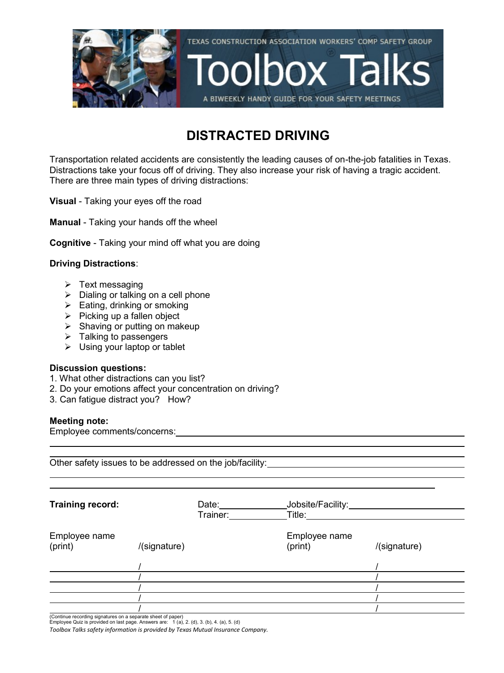

### **DISTRACTED DRIVING**

Transportation related accidents are consistently the leading causes of on-the-job fatalities in Texas. Distractions take your focus off of driving. They also increase your risk of having a tragic accident. There are three main types of driving distractions:

**Visual** - Taking your eyes off the road

**Manual** - Taking your hands off the wheel

**Cognitive** - Taking your mind off what you are doing

#### **Driving Distractions**:

- $\triangleright$  Text messaging
- $\triangleright$  Dialing or talking on a cell phone
- $\triangleright$  Eating, drinking or smoking
- $\triangleright$  Picking up a fallen object
- $\triangleright$  Shaving or putting on makeup
- $\triangleright$  Talking to passengers
- $\triangleright$  Using your laptop or tablet

#### **Discussion questions:**

- 1. What other distractions can you list?
- 2. Do your emotions affect your concentration on driving?
- 3. Can fatigue distract you? How?

#### **Meeting note:**

Employee comments/concerns:

| <b>Training record:</b> | Date: $\_\_$ | Jobsite/Facility: _________                                                                                                                                                                                                    |              |
|-------------------------|--------------|--------------------------------------------------------------------------------------------------------------------------------------------------------------------------------------------------------------------------------|--------------|
|                         | Trainer:     | Title: The Think of the Think of the Think of the Think of the Think of the Think of the Think of the Think of the Think of the Think of the Think of the Think of the Think of the Think of the Think of the Think of the Thi |              |
| Employee name           |              | Employee name                                                                                                                                                                                                                  |              |
| (print)                 | /(signature) | (print)                                                                                                                                                                                                                        | /(signature) |
|                         |              |                                                                                                                                                                                                                                |              |
|                         |              |                                                                                                                                                                                                                                |              |
|                         |              |                                                                                                                                                                                                                                |              |
|                         |              |                                                                                                                                                                                                                                |              |
|                         |              |                                                                                                                                                                                                                                |              |

 $\overline{a}$ 

(Continue recording signatures on a separate sheet of paper) Employee Quiz is provided on last page. Answers are: 1 (a), 2. (d), 3. (b), 4. (a), 5. (d)

*Toolbox Talks safety information is provided by Texas Mutual Insurance Company.*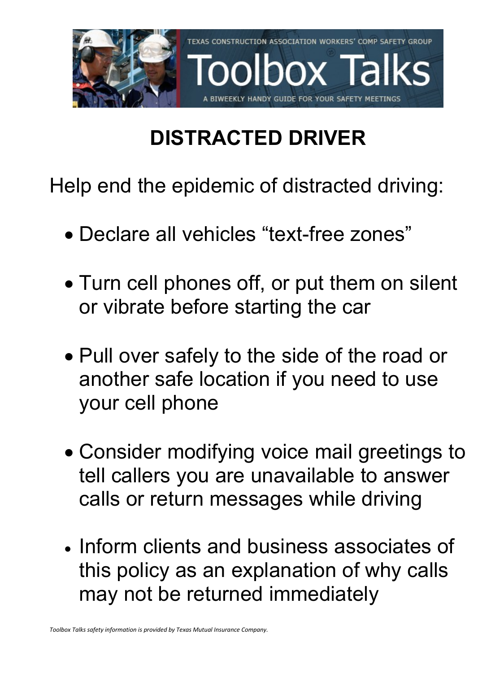

# **DISTRACTED DRIVER**

Help end the epidemic of distracted driving:

- Declare all vehicles "text-free zones"
- Turn cell phones off, or put them on silent or vibrate before starting the car
- Pull over safely to the side of the road or another safe location if you need to use your cell phone
- Consider modifying voice mail greetings to tell callers you are unavailable to answer calls or return messages while driving
- Inform clients and business associates of this policy as an explanation of why calls may not be returned immediately